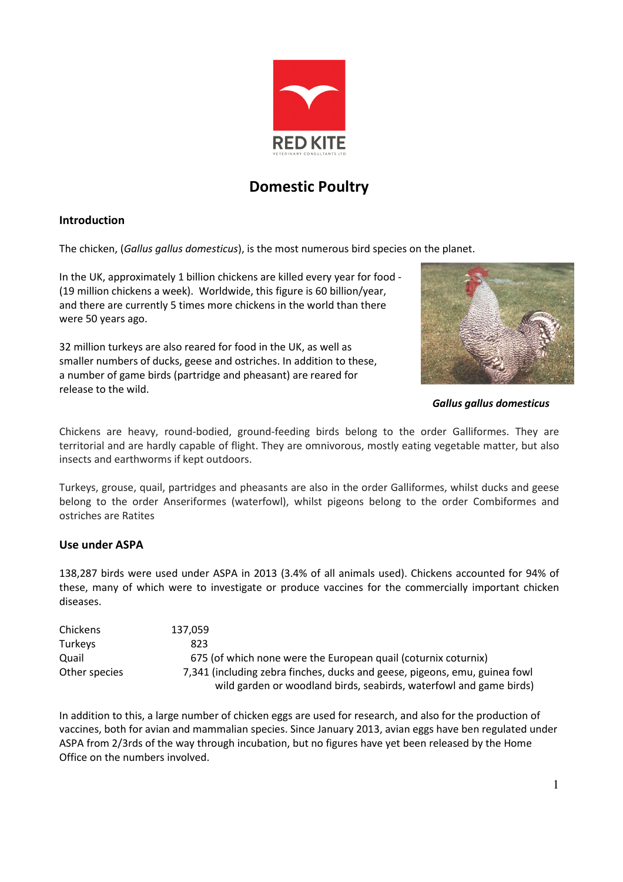

# Domestic Poultry

## Introduction

The chicken, (Gallus gallus domesticus), is the most numerous bird species on the planet.

In the UK, approximately 1 billion chickens are killed every year for food - (19 million chickens a week). Worldwide, this figure is 60 billion/year, and there are currently 5 times more chickens in the world than there were 50 years ago.

32 million turkeys are also reared for food in the UK, as well as smaller numbers of ducks, geese and ostriches. In addition to these, a number of game birds (partridge and pheasant) are reared for release to the wild.



Gallus gallus domesticus

Chickens are heavy, round-bodied, ground-feeding birds belong to the order Galliformes. They are territorial and are hardly capable of flight. They are omnivorous, mostly eating vegetable matter, but also insects and earthworms if kept outdoors.

Turkeys, grouse, quail, partridges and pheasants are also in the order Galliformes, whilst ducks and geese belong to the order Anseriformes (waterfowl), whilst pigeons belong to the order Combiformes and ostriches are Ratites

## Use under ASPA

138,287 birds were used under ASPA in 2013 (3.4% of all animals used). Chickens accounted for 94% of these, many of which were to investigate or produce vaccines for the commercially important chicken diseases.

| Chickens       | 137.059                                                                    |
|----------------|----------------------------------------------------------------------------|
| <b>Turkeys</b> | 823                                                                        |
| Quail          | 675 (of which none were the European quail (coturnix coturnix)             |
| Other species  | 7,341 (including zebra finches, ducks and geese, pigeons, emu, guinea fowl |
|                | wild garden or woodland birds, seabirds, waterfowl and game birds)         |

In addition to this, a large number of chicken eggs are used for research, and also for the production of vaccines, both for avian and mammalian species. Since January 2013, avian eggs have ben regulated under ASPA from 2/3rds of the way through incubation, but no figures have yet been released by the Home Office on the numbers involved.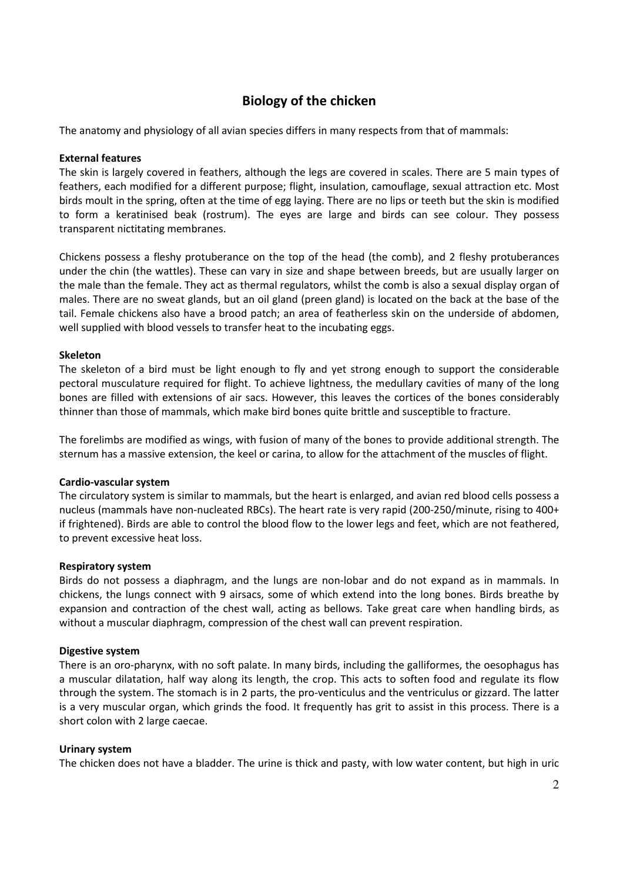## Biology of the chicken

The anatomy and physiology of all avian species differs in many respects from that of mammals:

#### External features

The skin is largely covered in feathers, although the legs are covered in scales. There are 5 main types of feathers, each modified for a different purpose; flight, insulation, camouflage, sexual attraction etc. Most birds moult in the spring, often at the time of egg laying. There are no lips or teeth but the skin is modified to form a keratinised beak (rostrum). The eyes are large and birds can see colour. They possess transparent nictitating membranes.

Chickens possess a fleshy protuberance on the top of the head (the comb), and 2 fleshy protuberances under the chin (the wattles). These can vary in size and shape between breeds, but are usually larger on the male than the female. They act as thermal regulators, whilst the comb is also a sexual display organ of males. There are no sweat glands, but an oil gland (preen gland) is located on the back at the base of the tail. Female chickens also have a brood patch; an area of featherless skin on the underside of abdomen, well supplied with blood vessels to transfer heat to the incubating eggs.

#### Skeleton

The skeleton of a bird must be light enough to fly and yet strong enough to support the considerable pectoral musculature required for flight. To achieve lightness, the medullary cavities of many of the long bones are filled with extensions of air sacs. However, this leaves the cortices of the bones considerably thinner than those of mammals, which make bird bones quite brittle and susceptible to fracture.

The forelimbs are modified as wings, with fusion of many of the bones to provide additional strength. The sternum has a massive extension, the keel or carina, to allow for the attachment of the muscles of flight.

#### Cardio-vascular system

The circulatory system is similar to mammals, but the heart is enlarged, and avian red blood cells possess a nucleus (mammals have non-nucleated RBCs). The heart rate is very rapid (200-250/minute, rising to 400+ if frightened). Birds are able to control the blood flow to the lower legs and feet, which are not feathered, to prevent excessive heat loss.

#### Respiratory system

Birds do not possess a diaphragm, and the lungs are non-lobar and do not expand as in mammals. In chickens, the lungs connect with 9 airsacs, some of which extend into the long bones. Birds breathe by expansion and contraction of the chest wall, acting as bellows. Take great care when handling birds, as without a muscular diaphragm, compression of the chest wall can prevent respiration.

#### Digestive system

There is an oro-pharynx, with no soft palate. In many birds, including the galliformes, the oesophagus has a muscular dilatation, half way along its length, the crop. This acts to soften food and regulate its flow through the system. The stomach is in 2 parts, the pro-venticulus and the ventriculus or gizzard. The latter is a very muscular organ, which grinds the food. It frequently has grit to assist in this process. There is a short colon with 2 large caecae.

#### Urinary system

The chicken does not have a bladder. The urine is thick and pasty, with low water content, but high in uric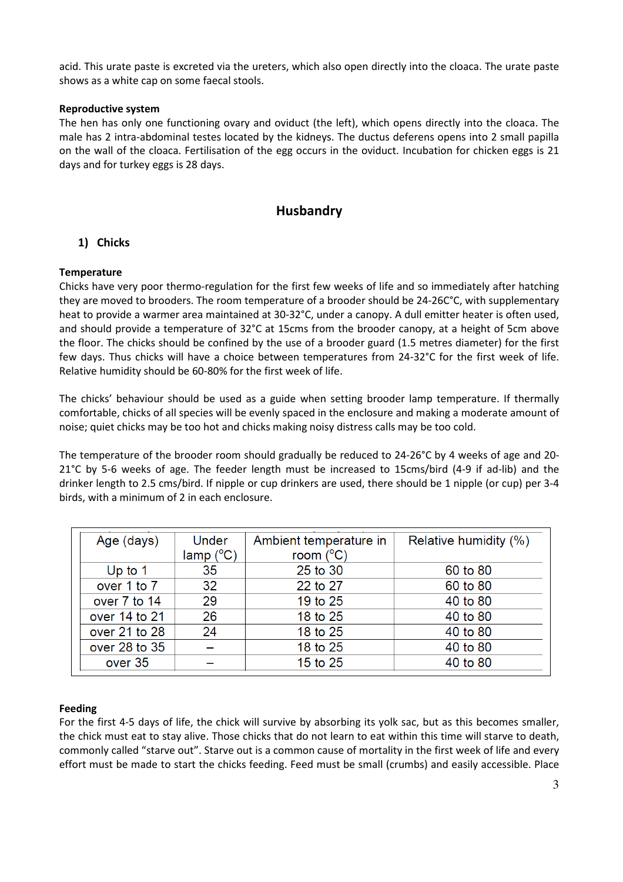acid. This urate paste is excreted via the ureters, which also open directly into the cloaca. The urate paste shows as a white cap on some faecal stools.

### Reproductive system

The hen has only one functioning ovary and oviduct (the left), which opens directly into the cloaca. The male has 2 intra-abdominal testes located by the kidneys. The ductus deferens opens into 2 small papilla on the wall of the cloaca. Fertilisation of the egg occurs in the oviduct. Incubation for chicken eggs is 21 days and for turkey eggs is 28 days.

## Husbandry

## 1) Chicks

## **Temperature**

Chicks have very poor thermo-regulation for the first few weeks of life and so immediately after hatching they are moved to brooders. The room temperature of a brooder should be 24-26C°C, with supplementary heat to provide a warmer area maintained at 30-32°C, under a canopy. A dull emitter heater is often used, and should provide a temperature of 32°C at 15cms from the brooder canopy, at a height of 5cm above the floor. The chicks should be confined by the use of a brooder guard (1.5 metres diameter) for the first few days. Thus chicks will have a choice between temperatures from 24-32°C for the first week of life. Relative humidity should be 60-80% for the first week of life.

The chicks' behaviour should be used as a guide when setting brooder lamp temperature. If thermally comfortable, chicks of all species will be evenly spaced in the enclosure and making a moderate amount of noise; quiet chicks may be too hot and chicks making noisy distress calls may be too cold.

The temperature of the brooder room should gradually be reduced to 24-26°C by 4 weeks of age and 20- 21°C by 5-6 weeks of age. The feeder length must be increased to 15cms/bird (4-9 if ad-lib) and the drinker length to 2.5 cms/bird. If nipple or cup drinkers are used, there should be 1 nipple (or cup) per 3-4 birds, with a minimum of 2 in each enclosure.

| Age (days)    | Under<br>lamp (°C) | Ambient temperature in<br>room $(^{\circ}C)$ | Relative humidity (%) |
|---------------|--------------------|----------------------------------------------|-----------------------|
| Up to $1$     | 35                 | 25 to 30                                     | 60 to 80              |
| over 1 to 7   | 32                 | 22 to 27                                     | 60 to 80              |
| over 7 to 14  | 29                 | 19 to 25                                     | 40 to 80              |
| over 14 to 21 | 26                 | 18 to 25                                     | 40 to 80              |
| over 21 to 28 | 24                 | 18 to 25                                     | 40 to 80              |
| over 28 to 35 |                    | 18 to 25                                     | 40 to 80              |
| over 35       |                    | 15 to 25                                     | 40 to 80              |

#### Feeding

For the first 4-5 days of life, the chick will survive by absorbing its yolk sac, but as this becomes smaller, the chick must eat to stay alive. Those chicks that do not learn to eat within this time will starve to death, commonly called "starve out". Starve out is a common cause of mortality in the first week of life and every effort must be made to start the chicks feeding. Feed must be small (crumbs) and easily accessible. Place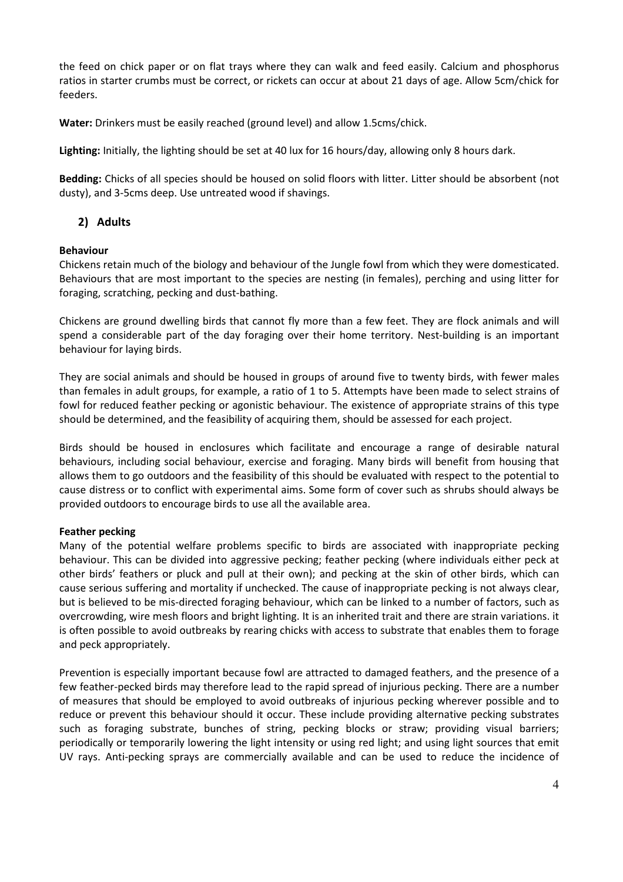the feed on chick paper or on flat trays where they can walk and feed easily. Calcium and phosphorus ratios in starter crumbs must be correct, or rickets can occur at about 21 days of age. Allow 5cm/chick for feeders.

Water: Drinkers must be easily reached (ground level) and allow 1.5cms/chick.

Lighting: Initially, the lighting should be set at 40 lux for 16 hours/day, allowing only 8 hours dark.

Bedding: Chicks of all species should be housed on solid floors with litter. Litter should be absorbent (not dusty), and 3-5cms deep. Use untreated wood if shavings.

## 2) Adults

## Behaviour

Chickens retain much of the biology and behaviour of the Jungle fowl from which they were domesticated. Behaviours that are most important to the species are nesting (in females), perching and using litter for foraging, scratching, pecking and dust-bathing.

Chickens are ground dwelling birds that cannot fly more than a few feet. They are flock animals and will spend a considerable part of the day foraging over their home territory. Nest-building is an important behaviour for laying birds.

They are social animals and should be housed in groups of around five to twenty birds, with fewer males than females in adult groups, for example, a ratio of 1 to 5. Attempts have been made to select strains of fowl for reduced feather pecking or agonistic behaviour. The existence of appropriate strains of this type should be determined, and the feasibility of acquiring them, should be assessed for each project.

Birds should be housed in enclosures which facilitate and encourage a range of desirable natural behaviours, including social behaviour, exercise and foraging. Many birds will benefit from housing that allows them to go outdoors and the feasibility of this should be evaluated with respect to the potential to cause distress or to conflict with experimental aims. Some form of cover such as shrubs should always be provided outdoors to encourage birds to use all the available area.

## Feather pecking

Many of the potential welfare problems specific to birds are associated with inappropriate pecking behaviour. This can be divided into aggressive pecking; feather pecking (where individuals either peck at other birds' feathers or pluck and pull at their own); and pecking at the skin of other birds, which can cause serious suffering and mortality if unchecked. The cause of inappropriate pecking is not always clear, but is believed to be mis-directed foraging behaviour, which can be linked to a number of factors, such as overcrowding, wire mesh floors and bright lighting. It is an inherited trait and there are strain variations. it is often possible to avoid outbreaks by rearing chicks with access to substrate that enables them to forage and peck appropriately.

Prevention is especially important because fowl are attracted to damaged feathers, and the presence of a few feather-pecked birds may therefore lead to the rapid spread of injurious pecking. There are a number of measures that should be employed to avoid outbreaks of injurious pecking wherever possible and to reduce or prevent this behaviour should it occur. These include providing alternative pecking substrates such as foraging substrate, bunches of string, pecking blocks or straw; providing visual barriers; periodically or temporarily lowering the light intensity or using red light; and using light sources that emit UV rays. Anti-pecking sprays are commercially available and can be used to reduce the incidence of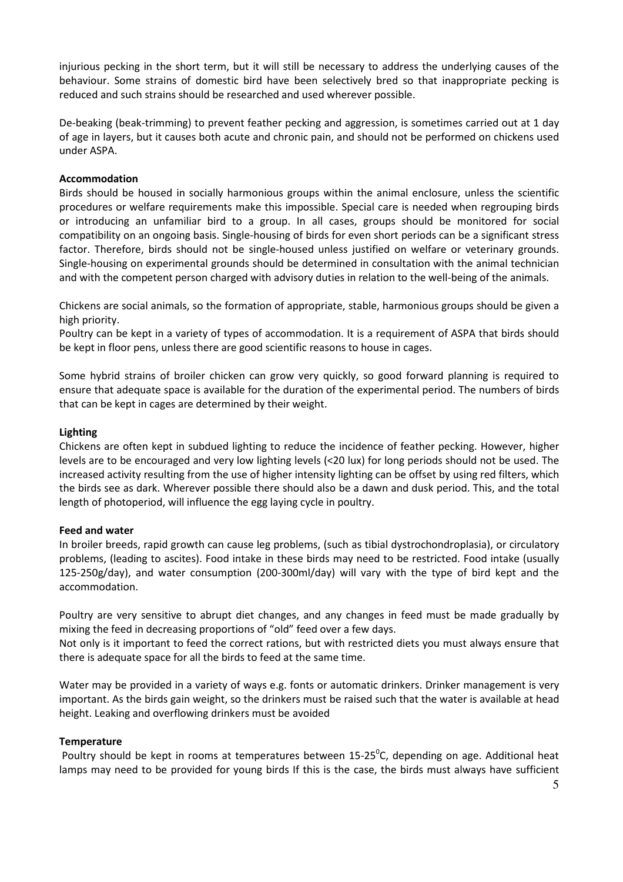injurious pecking in the short term, but it will still be necessary to address the underlying causes of the behaviour. Some strains of domestic bird have been selectively bred so that inappropriate pecking is reduced and such strains should be researched and used wherever possible.

De-beaking (beak-trimming) to prevent feather pecking and aggression, is sometimes carried out at 1 day of age in layers, but it causes both acute and chronic pain, and should not be performed on chickens used under ASPA.

## Accommodation

Birds should be housed in socially harmonious groups within the animal enclosure, unless the scientific procedures or welfare requirements make this impossible. Special care is needed when regrouping birds or introducing an unfamiliar bird to a group. In all cases, groups should be monitored for social compatibility on an ongoing basis. Single-housing of birds for even short periods can be a significant stress factor. Therefore, birds should not be single-housed unless justified on welfare or veterinary grounds. Single-housing on experimental grounds should be determined in consultation with the animal technician and with the competent person charged with advisory duties in relation to the well-being of the animals.

Chickens are social animals, so the formation of appropriate, stable, harmonious groups should be given a high priority.

Poultry can be kept in a variety of types of accommodation. It is a requirement of ASPA that birds should be kept in floor pens, unless there are good scientific reasons to house in cages.

Some hybrid strains of broiler chicken can grow very quickly, so good forward planning is required to ensure that adequate space is available for the duration of the experimental period. The numbers of birds that can be kept in cages are determined by their weight.

## Lighting

Chickens are often kept in subdued lighting to reduce the incidence of feather pecking. However, higher levels are to be encouraged and very low lighting levels (<20 lux) for long periods should not be used. The increased activity resulting from the use of higher intensity lighting can be offset by using red filters, which the birds see as dark. Wherever possible there should also be a dawn and dusk period. This, and the total length of photoperiod, will influence the egg laying cycle in poultry.

#### Feed and water

In broiler breeds, rapid growth can cause leg problems, (such as tibial dystrochondroplasia), or circulatory problems, (leading to ascites). Food intake in these birds may need to be restricted. Food intake (usually 125-250g/day), and water consumption (200-300ml/day) will vary with the type of bird kept and the accommodation.

Poultry are very sensitive to abrupt diet changes, and any changes in feed must be made gradually by mixing the feed in decreasing proportions of "old" feed over a few days.

Not only is it important to feed the correct rations, but with restricted diets you must always ensure that there is adequate space for all the birds to feed at the same time.

Water may be provided in a variety of ways e.g. fonts or automatic drinkers. Drinker management is very important. As the birds gain weight, so the drinkers must be raised such that the water is available at head height. Leaking and overflowing drinkers must be avoided

#### **Temperature**

Poultry should be kept in rooms at temperatures between 15-25<sup>°</sup>C, depending on age. Additional heat lamps may need to be provided for young birds If this is the case, the birds must always have sufficient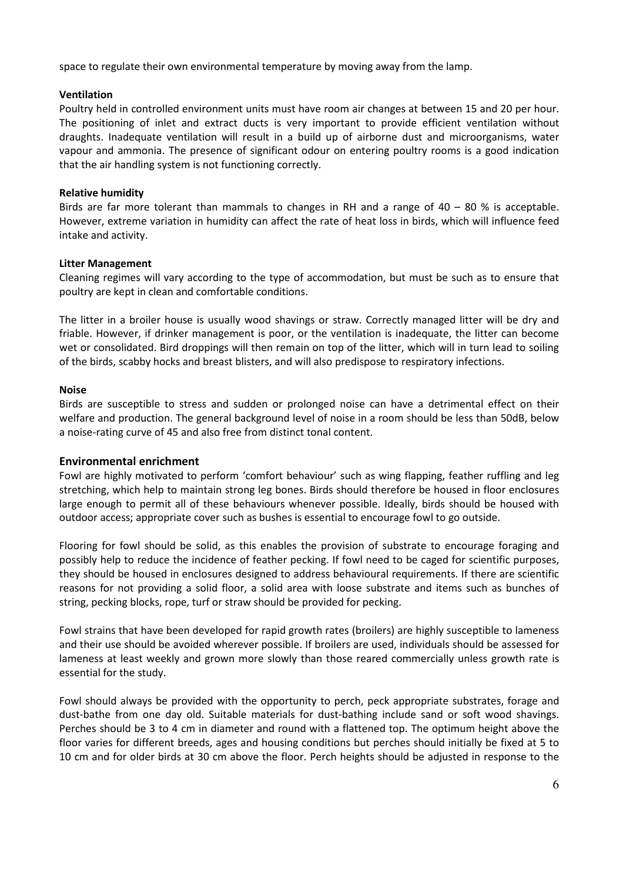space to regulate their own environmental temperature by moving away from the lamp.

### Ventilation

Poultry held in controlled environment units must have room air changes at between 15 and 20 per hour. The positioning of inlet and extract ducts is very important to provide efficient ventilation without draughts. Inadequate ventilation will result in a build up of airborne dust and microorganisms, water vapour and ammonia. The presence of significant odour on entering poultry rooms is a good indication that the air handling system is not functioning correctly.

## Relative humidity

Birds are far more tolerant than mammals to changes in RH and a range of  $40 - 80$  % is acceptable. However, extreme variation in humidity can affect the rate of heat loss in birds, which will influence feed intake and activity.

## Litter Management

Cleaning regimes will vary according to the type of accommodation, but must be such as to ensure that poultry are kept in clean and comfortable conditions.

The litter in a broiler house is usually wood shavings or straw. Correctly managed litter will be dry and friable. However, if drinker management is poor, or the ventilation is inadequate, the litter can become wet or consolidated. Bird droppings will then remain on top of the litter, which will in turn lead to soiling of the birds, scabby hocks and breast blisters, and will also predispose to respiratory infections.

## Noise

Birds are susceptible to stress and sudden or prolonged noise can have a detrimental effect on their welfare and production. The general background level of noise in a room should be less than 50dB, below a noise-rating curve of 45 and also free from distinct tonal content.

#### Environmental enrichment

Fowl are highly motivated to perform 'comfort behaviour' such as wing flapping, feather ruffling and leg stretching, which help to maintain strong leg bones. Birds should therefore be housed in floor enclosures large enough to permit all of these behaviours whenever possible. Ideally, birds should be housed with outdoor access; appropriate cover such as bushes is essential to encourage fowl to go outside.

Flooring for fowl should be solid, as this enables the provision of substrate to encourage foraging and possibly help to reduce the incidence of feather pecking. If fowl need to be caged for scientific purposes, they should be housed in enclosures designed to address behavioural requirements. If there are scientific reasons for not providing a solid floor, a solid area with loose substrate and items such as bunches of string, pecking blocks, rope, turf or straw should be provided for pecking.

Fowl strains that have been developed for rapid growth rates (broilers) are highly susceptible to lameness and their use should be avoided wherever possible. If broilers are used, individuals should be assessed for lameness at least weekly and grown more slowly than those reared commercially unless growth rate is essential for the study.

Fowl should always be provided with the opportunity to perch, peck appropriate substrates, forage and dust-bathe from one day old. Suitable materials for dust-bathing include sand or soft wood shavings. Perches should be 3 to 4 cm in diameter and round with a flattened top. The optimum height above the floor varies for different breeds, ages and housing conditions but perches should initially be fixed at 5 to 10 cm and for older birds at 30 cm above the floor. Perch heights should be adjusted in response to the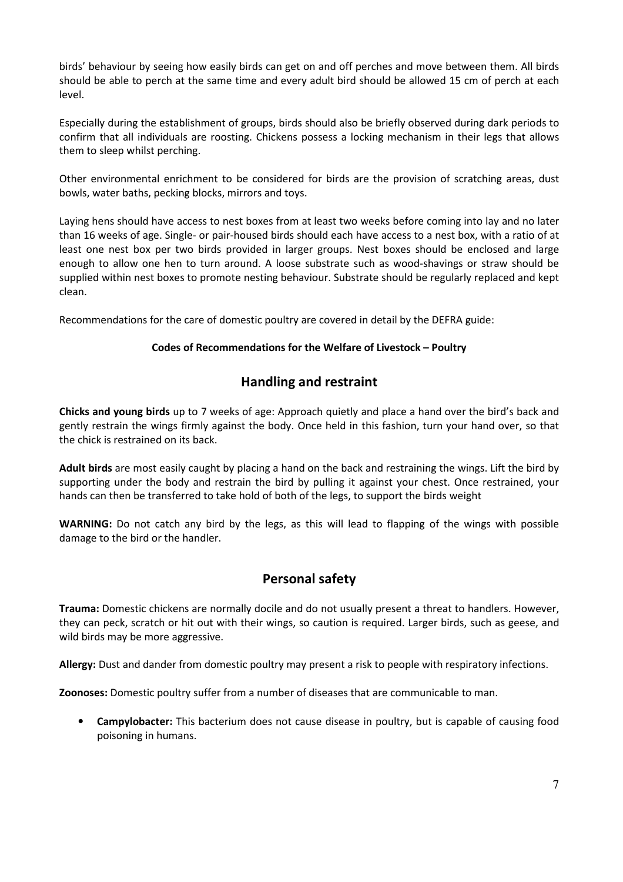birds' behaviour by seeing how easily birds can get on and off perches and move between them. All birds should be able to perch at the same time and every adult bird should be allowed 15 cm of perch at each level.

Especially during the establishment of groups, birds should also be briefly observed during dark periods to confirm that all individuals are roosting. Chickens possess a locking mechanism in their legs that allows them to sleep whilst perching.

Other environmental enrichment to be considered for birds are the provision of scratching areas, dust bowls, water baths, pecking blocks, mirrors and toys.

Laying hens should have access to nest boxes from at least two weeks before coming into lay and no later than 16 weeks of age. Single- or pair-housed birds should each have access to a nest box, with a ratio of at least one nest box per two birds provided in larger groups. Nest boxes should be enclosed and large enough to allow one hen to turn around. A loose substrate such as wood-shavings or straw should be supplied within nest boxes to promote nesting behaviour. Substrate should be regularly replaced and kept clean.

Recommendations for the care of domestic poultry are covered in detail by the DEFRA guide:

## Codes of Recommendations for the Welfare of Livestock – Poultry

## Handling and restraint

Chicks and young birds up to 7 weeks of age: Approach quietly and place a hand over the bird's back and gently restrain the wings firmly against the body. Once held in this fashion, turn your hand over, so that the chick is restrained on its back.

Adult birds are most easily caught by placing a hand on the back and restraining the wings. Lift the bird by supporting under the body and restrain the bird by pulling it against your chest. Once restrained, your hands can then be transferred to take hold of both of the legs, to support the birds weight

WARNING: Do not catch any bird by the legs, as this will lead to flapping of the wings with possible damage to the bird or the handler.

## Personal safety

Trauma: Domestic chickens are normally docile and do not usually present a threat to handlers. However, they can peck, scratch or hit out with their wings, so caution is required. Larger birds, such as geese, and wild birds may be more aggressive.

Allergy: Dust and dander from domestic poultry may present a risk to people with respiratory infections.

Zoonoses: Domestic poultry suffer from a number of diseases that are communicable to man.

• Campylobacter: This bacterium does not cause disease in poultry, but is capable of causing food poisoning in humans.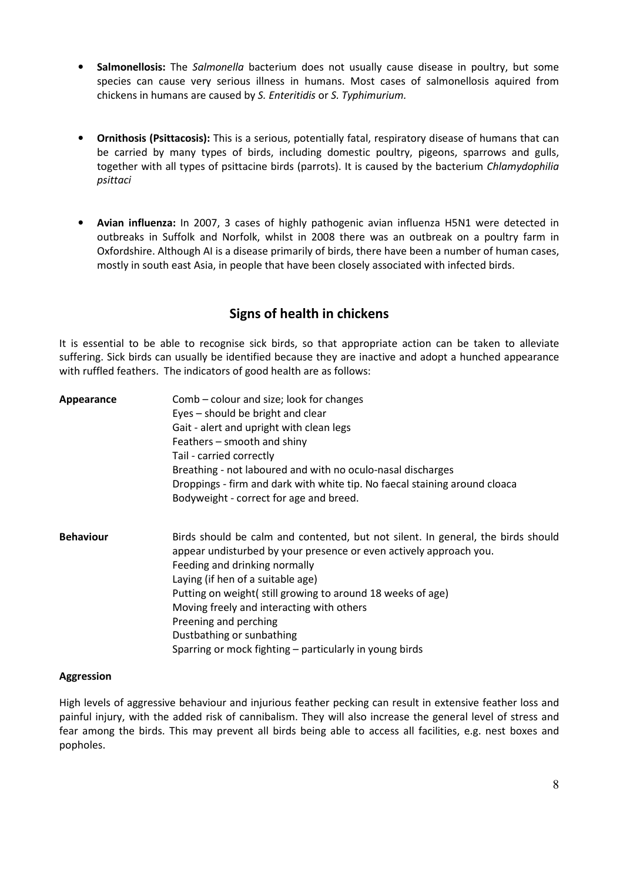- Salmonellosis: The Salmonella bacterium does not usually cause disease in poultry, but some species can cause very serious illness in humans. Most cases of salmonellosis aquired from chickens in humans are caused by S. Enteritidis or S. Typhimurium.
- Ornithosis (Psittacosis): This is a serious, potentially fatal, respiratory disease of humans that can be carried by many types of birds, including domestic poultry, pigeons, sparrows and gulls, together with all types of psittacine birds (parrots). It is caused by the bacterium Chlamydophilia psittaci
- Avian influenza: In 2007, 3 cases of highly pathogenic avian influenza H5N1 were detected in outbreaks in Suffolk and Norfolk, whilst in 2008 there was an outbreak on a poultry farm in Oxfordshire. Although AI is a disease primarily of birds, there have been a number of human cases, mostly in south east Asia, in people that have been closely associated with infected birds.

## Signs of health in chickens

It is essential to be able to recognise sick birds, so that appropriate action can be taken to alleviate suffering. Sick birds can usually be identified because they are inactive and adopt a hunched appearance with ruffled feathers. The indicators of good health are as follows:

| Appearance       | Comb – colour and size; look for changes<br>Eyes – should be bright and clear<br>Gait - alert and upright with clean legs<br>Feathers – smooth and shiny<br>Tail - carried correctly<br>Breathing - not laboured and with no oculo-nasal discharges<br>Droppings - firm and dark with white tip. No faecal staining around cloaca<br>Bodyweight - correct for age and breed.                                                                             |
|------------------|----------------------------------------------------------------------------------------------------------------------------------------------------------------------------------------------------------------------------------------------------------------------------------------------------------------------------------------------------------------------------------------------------------------------------------------------------------|
| <b>Behaviour</b> | Birds should be calm and contented, but not silent. In general, the birds should<br>appear undisturbed by your presence or even actively approach you.<br>Feeding and drinking normally<br>Laying (if hen of a suitable age)<br>Putting on weight(still growing to around 18 weeks of age)<br>Moving freely and interacting with others<br>Preening and perching<br>Dustbathing or sunbathing<br>Sparring or mock fighting – particularly in young birds |

#### Aggression

High levels of aggressive behaviour and injurious feather pecking can result in extensive feather loss and painful injury, with the added risk of cannibalism. They will also increase the general level of stress and fear among the birds. This may prevent all birds being able to access all facilities, e.g. nest boxes and popholes.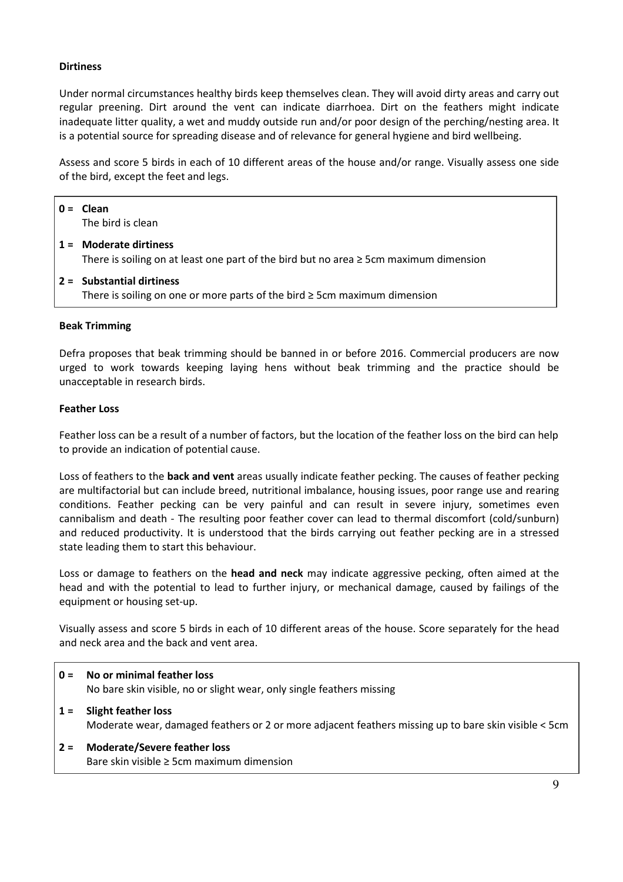## **Dirtiness**

Under normal circumstances healthy birds keep themselves clean. They will avoid dirty areas and carry out regular preening. Dirt around the vent can indicate diarrhoea. Dirt on the feathers might indicate inadequate litter quality, a wet and muddy outside run and/or poor design of the perching/nesting area. It is a potential source for spreading disease and of relevance for general hygiene and bird wellbeing.

Assess and score 5 birds in each of 10 different areas of the house and/or range. Visually assess one side of the bird, except the feet and legs.

| $0 =$ Clean<br>The bird is clean                                                                                       |  |  |
|------------------------------------------------------------------------------------------------------------------------|--|--|
| $1 =$ Moderate dirtiness<br>There is soiling on at least one part of the bird but no area $\geq$ 5cm maximum dimension |  |  |
| $2 =$ Substantial dirtiness<br>There is soiling on one or more parts of the bird $\geq$ 5cm maximum dimension          |  |  |
| <b>Beak Trimming</b>                                                                                                   |  |  |

Defra proposes that beak trimming should be banned in or before 2016. Commercial producers are now urged to work towards keeping laying hens without beak trimming and the practice should be unacceptable in research birds.

#### Feather Loss

Feather loss can be a result of a number of factors, but the location of the feather loss on the bird can help to provide an indication of potential cause.

Loss of feathers to the **back and vent** areas usually indicate feather pecking. The causes of feather pecking are multifactorial but can include breed, nutritional imbalance, housing issues, poor range use and rearing conditions. Feather pecking can be very painful and can result in severe injury, sometimes even cannibalism and death - The resulting poor feather cover can lead to thermal discomfort (cold/sunburn) and reduced productivity. It is understood that the birds carrying out feather pecking are in a stressed state leading them to start this behaviour.

Loss or damage to feathers on the **head and neck** may indicate aggressive pecking, often aimed at the head and with the potential to lead to further injury, or mechanical damage, caused by failings of the equipment or housing set-up.

Visually assess and score 5 birds in each of 10 different areas of the house. Score separately for the head and neck area and the back and vent area.

- 0 = No or minimal feather loss No bare skin visible, no or slight wear, only single feathers missing
- 1 = Slight feather loss Moderate wear, damaged feathers or 2 or more adjacent feathers missing up to bare skin visible < 5cm
- 2 = Moderate/Severe feather loss Bare skin visible ≥ 5cm maximum dimension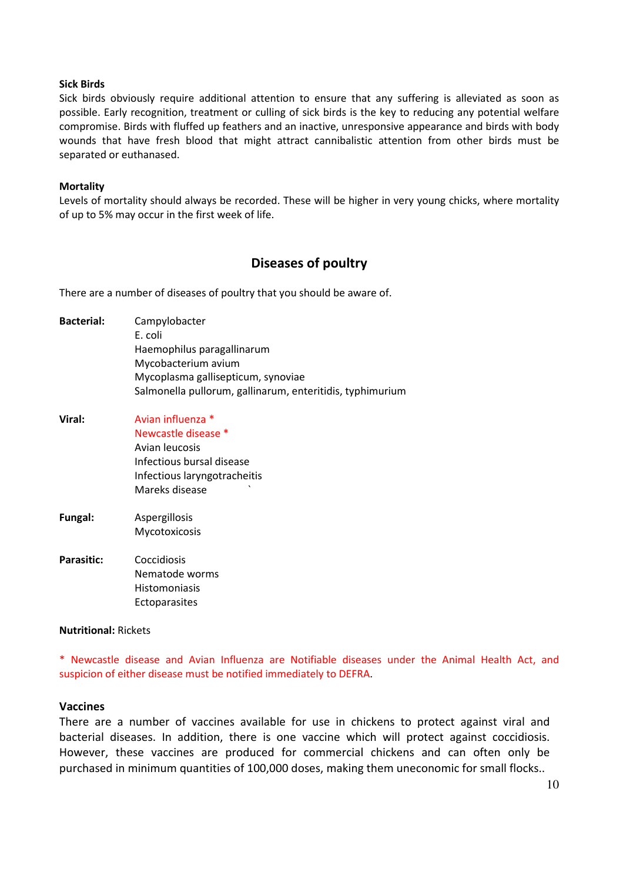#### Sick Birds

Sick birds obviously require additional attention to ensure that any suffering is alleviated as soon as possible. Early recognition, treatment or culling of sick birds is the key to reducing any potential welfare compromise. Birds with fluffed up feathers and an inactive, unresponsive appearance and birds with body wounds that have fresh blood that might attract cannibalistic attention from other birds must be separated or euthanased.

#### **Mortality**

Levels of mortality should always be recorded. These will be higher in very young chicks, where mortality of up to 5% may occur in the first week of life.

## Diseases of poultry

There are a number of diseases of poultry that you should be aware of.

| <b>Bacterial:</b> | Campylobacter                                             |
|-------------------|-----------------------------------------------------------|
|                   | E. coli                                                   |
|                   | Haemophilus paragallinarum                                |
|                   | Mycobacterium avium                                       |
|                   | Mycoplasma gallisepticum, synoviae                        |
|                   | Salmonella pullorum, gallinarum, enteritidis, typhimurium |
| Viral:            | Avian influenza *                                         |
|                   | Newcastle disease *                                       |
|                   | Avian leucosis                                            |
|                   | Infectious bursal disease                                 |
|                   | Infectious laryngotracheitis                              |
|                   | Mareks disease                                            |
|                   |                                                           |

- Fungal: Aspergillosis Mycotoxicosis
- Parasitic: Coccidiosis Nematode worms **Histomoniasis** Ectoparasites

#### Nutritional: Rickets

\* Newcastle disease and Avian Influenza are Notifiable diseases under the Animal Health Act, and suspicion of either disease must be notified immediately to DEFRA.

#### Vaccines

There are a number of vaccines available for use in chickens to protect against viral and bacterial diseases. In addition, there is one vaccine which will protect against coccidiosis. However, these vaccines are produced for commercial chickens and can often only be purchased in minimum quantities of 100,000 doses, making them uneconomic for small flocks..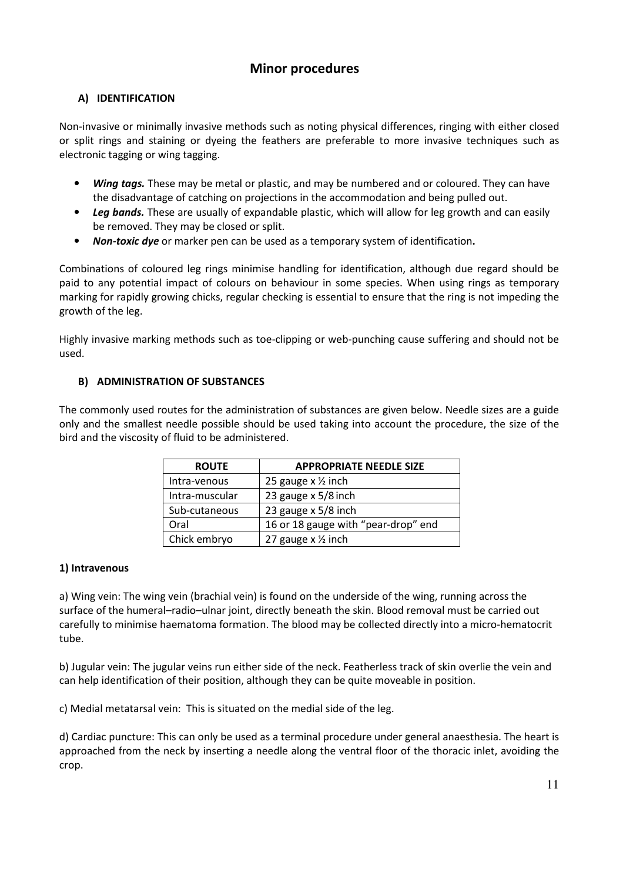## Minor procedures

## A) IDENTIFICATION

Non-invasive or minimally invasive methods such as noting physical differences, ringing with either closed or split rings and staining or dyeing the feathers are preferable to more invasive techniques such as electronic tagging or wing tagging.

- **Wing tags.** These may be metal or plastic, and may be numbered and or coloured. They can have the disadvantage of catching on projections in the accommodation and being pulled out.
- Leg bands. These are usually of expandable plastic, which will allow for leg growth and can easily be removed. They may be closed or split.
- Non-toxic dye or marker pen can be used as a temporary system of identification.

Combinations of coloured leg rings minimise handling for identification, although due regard should be paid to any potential impact of colours on behaviour in some species. When using rings as temporary marking for rapidly growing chicks, regular checking is essential to ensure that the ring is not impeding the growth of the leg.

Highly invasive marking methods such as toe-clipping or web-punching cause suffering and should not be used.

## B) ADMINISTRATION OF SUBSTANCES

The commonly used routes for the administration of substances are given below. Needle sizes are a guide only and the smallest needle possible should be used taking into account the procedure, the size of the bird and the viscosity of fluid to be administered.

| <b>ROUTE</b>   | <b>APPROPRIATE NEEDLE SIZE</b>      |  |  |
|----------------|-------------------------------------|--|--|
| Intra-venous   | 25 gauge $x \frac{1}{2}$ inch       |  |  |
| Intra-muscular | 23 gauge x 5/8 inch                 |  |  |
| Sub-cutaneous  | 23 gauge x 5/8 inch                 |  |  |
| Oral           | 16 or 18 gauge with "pear-drop" end |  |  |
| Chick embryo   | 27 gauge x 1/2 inch                 |  |  |

## 1) Intravenous

a) Wing vein: The wing vein (brachial vein) is found on the underside of the wing, running across the surface of the humeral–radio–ulnar joint, directly beneath the skin. Blood removal must be carried out carefully to minimise haematoma formation. The blood may be collected directly into a micro-hematocrit tube.

b) Jugular vein: The jugular veins run either side of the neck. Featherless track of skin overlie the vein and can help identification of their position, although they can be quite moveable in position.

c) Medial metatarsal vein: This is situated on the medial side of the leg.

d) Cardiac puncture: This can only be used as a terminal procedure under general anaesthesia. The heart is approached from the neck by inserting a needle along the ventral floor of the thoracic inlet, avoiding the crop.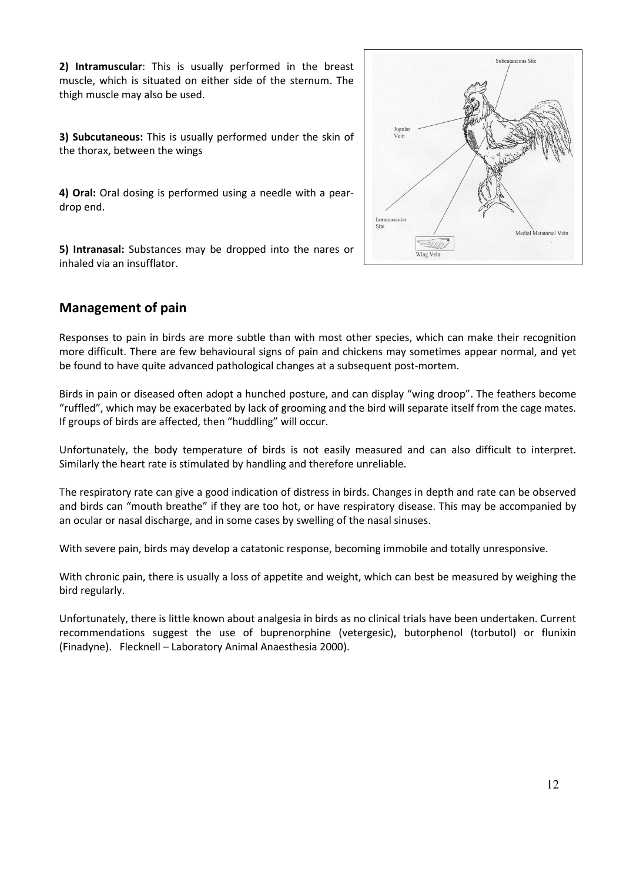2) Intramuscular: This is usually performed in the breast muscle, which is situated on either side of the sternum. The thigh muscle may also be used.

3) Subcutaneous: This is usually performed under the skin of the thorax, between the wings

4) Oral: Oral dosing is performed using a needle with a peardrop end.

5) Intranasal: Substances may be dropped into the nares or inhaled via an insufflator.



## Management of pain

Responses to pain in birds are more subtle than with most other species, which can make their recognition more difficult. There are few behavioural signs of pain and chickens may sometimes appear normal, and yet be found to have quite advanced pathological changes at a subsequent post-mortem.

Birds in pain or diseased often adopt a hunched posture, and can display "wing droop". The feathers become "ruffled", which may be exacerbated by lack of grooming and the bird will separate itself from the cage mates. If groups of birds are affected, then "huddling" will occur.

Unfortunately, the body temperature of birds is not easily measured and can also difficult to interpret. Similarly the heart rate is stimulated by handling and therefore unreliable.

The respiratory rate can give a good indication of distress in birds. Changes in depth and rate can be observed and birds can "mouth breathe" if they are too hot, or have respiratory disease. This may be accompanied by an ocular or nasal discharge, and in some cases by swelling of the nasal sinuses.

With severe pain, birds may develop a catatonic response, becoming immobile and totally unresponsive.

With chronic pain, there is usually a loss of appetite and weight, which can best be measured by weighing the bird regularly.

Unfortunately, there is little known about analgesia in birds as no clinical trials have been undertaken. Current recommendations suggest the use of buprenorphine (vetergesic), butorphenol (torbutol) or flunixin (Finadyne). Flecknell – Laboratory Animal Anaesthesia 2000).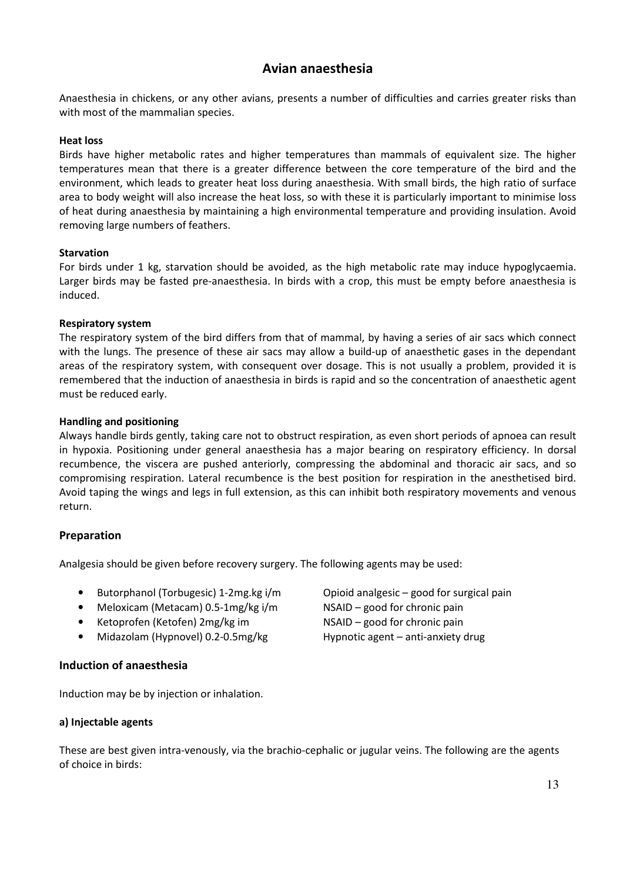## Avian anaesthesia

Anaesthesia in chickens, or any other avians, presents a number of difficulties and carries greater risks than with most of the mammalian species.

### Heat loss

Birds have higher metabolic rates and higher temperatures than mammals of equivalent size. The higher temperatures mean that there is a greater difference between the core temperature of the bird and the environment, which leads to greater heat loss during anaesthesia. With small birds, the high ratio of surface area to body weight will also increase the heat loss, so with these it is particularly important to minimise loss of heat during anaesthesia by maintaining a high environmental temperature and providing insulation. Avoid removing large numbers of feathers.

#### Starvation

For birds under 1 kg, starvation should be avoided, as the high metabolic rate may induce hypoglycaemia. Larger birds may be fasted pre-anaesthesia. In birds with a crop, this must be empty before anaesthesia is induced.

## Respiratory system

The respiratory system of the bird differs from that of mammal, by having a series of air sacs which connect with the lungs. The presence of these air sacs may allow a build-up of anaesthetic gases in the dependant areas of the respiratory system, with consequent over dosage. This is not usually a problem, provided it is remembered that the induction of anaesthesia in birds is rapid and so the concentration of anaesthetic agent must be reduced early.

## Handling and positioning

Always handle birds gently, taking care not to obstruct respiration, as even short periods of apnoea can result in hypoxia. Positioning under general anaesthesia has a major bearing on respiratory efficiency. In dorsal recumbence, the viscera are pushed anteriorly, compressing the abdominal and thoracic air sacs, and so compromising respiration. Lateral recumbence is the best position for respiration in the anesthetised bird. Avoid taping the wings and legs in full extension, as this can inhibit both respiratory movements and venous return.

## Preparation

Analgesia should be given before recovery surgery. The following agents may be used:

- Butorphanol (Torbugesic) 1-2mg.kg i/m Opioid analgesic good for surgical pain
- Meloxicam (Metacam) 0.5-1mg/kg i/m NSAID good for chronic pain
- Ketoprofen (Ketofen) 2mg/kg im NSAID good for chronic pain
- Midazolam (Hypnovel) 0.2-0.5mg/kg Hypnotic agent anti-anxiety drug

#### Induction of anaesthesia

Induction may be by injection or inhalation.

#### a) Injectable agents

These are best given intra-venously, via the brachio-cephalic or jugular veins. The following are the agents of choice in birds: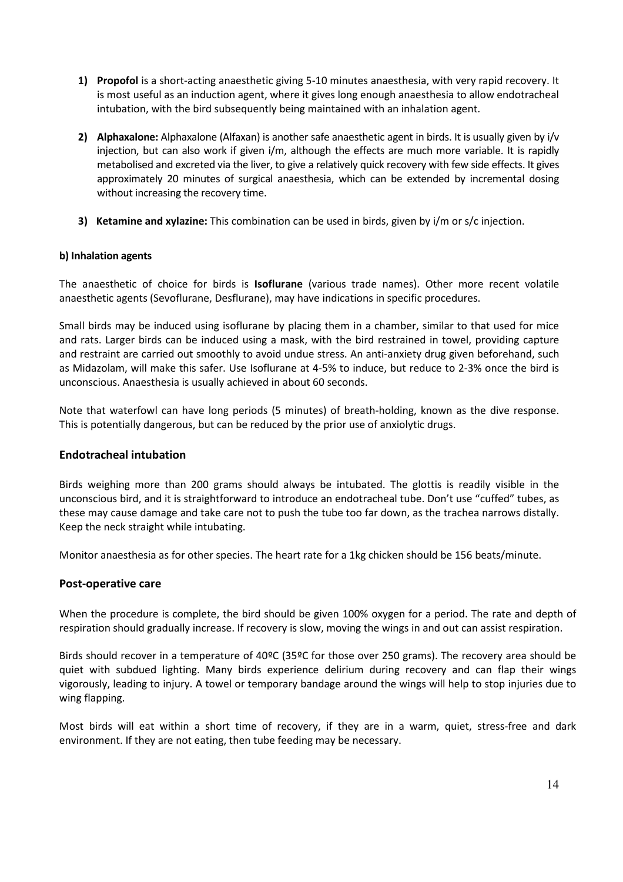- 1) Propofol is a short-acting anaesthetic giving 5-10 minutes anaesthesia, with very rapid recovery. It is most useful as an induction agent, where it gives long enough anaesthesia to allow endotracheal intubation, with the bird subsequently being maintained with an inhalation agent.
- 2) Alphaxalone: Alphaxalone (Alfaxan) is another safe anaesthetic agent in birds. It is usually given by  $i/v$ injection, but can also work if given i/m, although the effects are much more variable. It is rapidly metabolised and excreted via the liver, to give a relatively quick recovery with few side effects. It gives approximately 20 minutes of surgical anaesthesia, which can be extended by incremental dosing without increasing the recovery time.
- 3) Ketamine and xylazine: This combination can be used in birds, given by i/m or s/c injection.

## b) Inhalation agents

The anaesthetic of choice for birds is **Isoflurane** (various trade names). Other more recent volatile anaesthetic agents (Sevoflurane, Desflurane), may have indications in specific procedures.

Small birds may be induced using isoflurane by placing them in a chamber, similar to that used for mice and rats. Larger birds can be induced using a mask, with the bird restrained in towel, providing capture and restraint are carried out smoothly to avoid undue stress. An anti-anxiety drug given beforehand, such as Midazolam, will make this safer. Use Isoflurane at 4-5% to induce, but reduce to 2-3% once the bird is unconscious. Anaesthesia is usually achieved in about 60 seconds.

Note that waterfowl can have long periods (5 minutes) of breath-holding, known as the dive response. This is potentially dangerous, but can be reduced by the prior use of anxiolytic drugs.

## Endotracheal intubation

Birds weighing more than 200 grams should always be intubated. The glottis is readily visible in the unconscious bird, and it is straightforward to introduce an endotracheal tube. Don't use "cuffed" tubes, as these may cause damage and take care not to push the tube too far down, as the trachea narrows distally. Keep the neck straight while intubating.

Monitor anaesthesia as for other species. The heart rate for a 1kg chicken should be 156 beats/minute.

## Post-operative care

When the procedure is complete, the bird should be given 100% oxygen for a period. The rate and depth of respiration should gradually increase. If recovery is slow, moving the wings in and out can assist respiration.

Birds should recover in a temperature of 40ºC (35ºC for those over 250 grams). The recovery area should be quiet with subdued lighting. Many birds experience delirium during recovery and can flap their wings vigorously, leading to injury. A towel or temporary bandage around the wings will help to stop injuries due to wing flapping.

Most birds will eat within a short time of recovery, if they are in a warm, quiet, stress-free and dark environment. If they are not eating, then tube feeding may be necessary.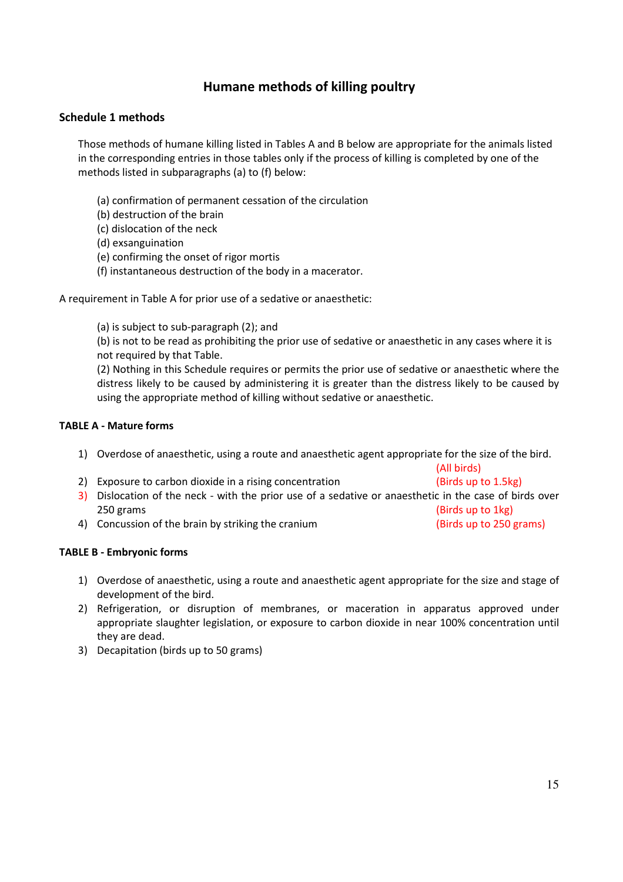## Humane methods of killing poultry

## Schedule 1 methods

Those methods of humane killing listed in Tables A and B below are appropriate for the animals listed in the corresponding entries in those tables only if the process of killing is completed by one of the methods listed in subparagraphs (a) to (f) below:

- (a) confirmation of permanent cessation of the circulation
- (b) destruction of the brain
- (c) dislocation of the neck
- (d) exsanguination
- (e) confirming the onset of rigor mortis
- (f) instantaneous destruction of the body in a macerator.

A requirement in Table A for prior use of a sedative or anaesthetic:

(a) is subject to sub-paragraph (2); and

(b) is not to be read as prohibiting the prior use of sedative or anaesthetic in any cases where it is not required by that Table.

(2) Nothing in this Schedule requires or permits the prior use of sedative or anaesthetic where the distress likely to be caused by administering it is greater than the distress likely to be caused by using the appropriate method of killing without sedative or anaesthetic.

## TABLE A - Mature forms

1) Overdose of anaesthetic, using a route and anaesthetic agent appropriate for the size of the bird.

|                                                                                                        | (All birds)             |  |
|--------------------------------------------------------------------------------------------------------|-------------------------|--|
| 2) Exposure to carbon dioxide in a rising concentration                                                | (Birds up to 1.5kg)     |  |
| 3) Dislocation of the neck - with the prior use of a sedative or anaesthetic in the case of birds over |                         |  |
| 250 grams                                                                                              | (Birds up to 1kg)       |  |
| 4) Concussion of the brain by striking the cranium                                                     | (Birds up to 250 grams) |  |

#### TABLE B - Embryonic forms

- 1) Overdose of anaesthetic, using a route and anaesthetic agent appropriate for the size and stage of development of the bird.
- 2) Refrigeration, or disruption of membranes, or maceration in apparatus approved under appropriate slaughter legislation, or exposure to carbon dioxide in near 100% concentration until they are dead.
- 3) Decapitation (birds up to 50 grams)